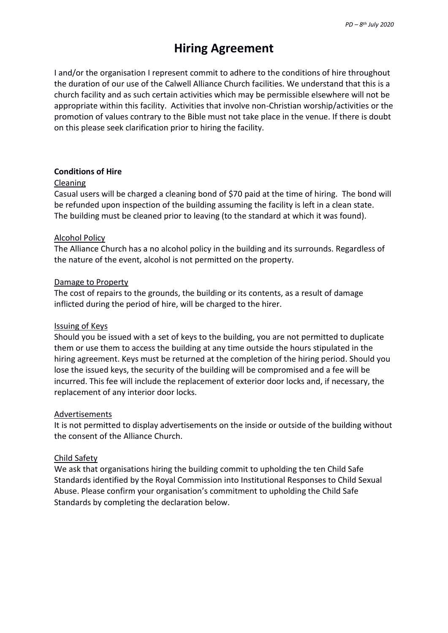# **Hiring Agreement**

I and/or the organisation I represent commit to adhere to the conditions of hire throughout the duration of our use of the Calwell Alliance Church facilities. We understand that this is a church facility and as such certain activities which may be permissible elsewhere will not be appropriate within this facility. Activities that involve non-Christian worship/activities or the promotion of values contrary to the Bible must not take place in the venue. If there is doubt on this please seek clarification prior to hiring the facility.

# **Conditions of Hire**

# Cleaning

Casual users will be charged a cleaning bond of \$70 paid at the time of hiring. The bond will be refunded upon inspection of the building assuming the facility is left in a clean state. The building must be cleaned prior to leaving (to the standard at which it was found).

# Alcohol Policy

The Alliance Church has a no alcohol policy in the building and its surrounds. Regardless of the nature of the event, alcohol is not permitted on the property.

# Damage to Property

The cost of repairs to the grounds, the building or its contents, as a result of damage inflicted during the period of hire, will be charged to the hirer.

## Issuing of Keys

Should you be issued with a set of keys to the building, you are not permitted to duplicate them or use them to access the building at any time outside the hours stipulated in the hiring agreement. Keys must be returned at the completion of the hiring period. Should you lose the issued keys, the security of the building will be compromised and a fee will be incurred. This fee will include the replacement of exterior door locks and, if necessary, the replacement of any interior door locks.

# Advertisements

It is not permitted to display advertisements on the inside or outside of the building without the consent of the Alliance Church.

# Child Safety

We ask that organisations hiring the building commit to upholding the ten Child Safe Standards identified by the Royal Commission into Institutional Responses to Child Sexual Abuse. Please confirm your organisation's commitment to upholding the Child Safe Standards by completing the declaration below.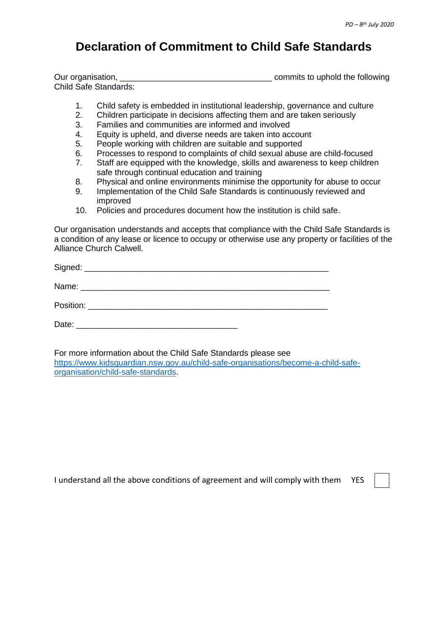# **Declaration of Commitment to Child Safe Standards**

| Our organisation,            | commits to uphold the following |
|------------------------------|---------------------------------|
| <b>Child Safe Standards:</b> |                                 |

- 1. Child safety is embedded in institutional leadership, governance and culture
- 2. Children participate in decisions affecting them and are taken seriously
- 3. Families and communities are informed and involved
- 4. Equity is upheld, and diverse needs are taken into account
- 5. People working with children are suitable and supported
- 6. Processes to respond to complaints of child sexual abuse are child-focused
- 7. Staff are equipped with the knowledge, skills and awareness to keep children safe through continual education and training
- 8. Physical and online environments minimise the opportunity for abuse to occur
- 9. Implementation of the Child Safe Standards is continuously reviewed and improved
- 10. Policies and procedures document how the institution is child safe.

Our organisation understands and accepts that compliance with the Child Safe Standards is a condition of any lease or licence to occupy or otherwise use any property or facilities of the Alliance Church Calwell.

| Date: |  |
|-------|--|

For more information about the Child Safe Standards please see [https://www.kidsguardian.nsw.gov.au/child-safe-organisations/become-a-child-safe](https://www.kidsguardian.nsw.gov.au/child-safe-organisations/become-a-child-safe-organisation/child-safe-standards)[organisation/child-safe-standards.](https://www.kidsguardian.nsw.gov.au/child-safe-organisations/become-a-child-safe-organisation/child-safe-standards)

I understand all the above conditions of agreement and will comply with them YES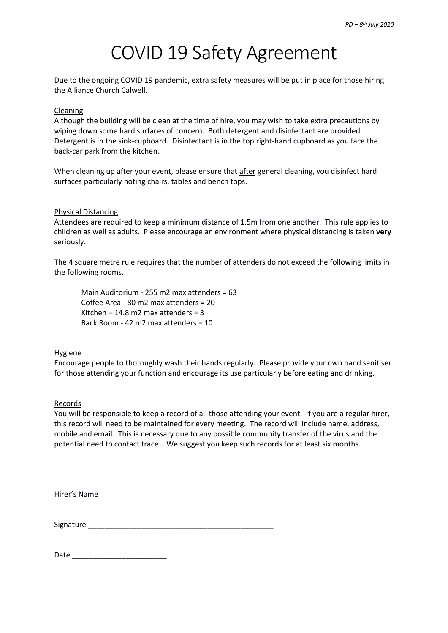# COVID 19 Safety Agreement

Due to the ongoing COVID 19 pandemic, extra safety measures will be put in place for those hiring the Alliance Church Calwell.

# Cleaning

Although the building will be clean at the time of hire, you may wish to take extra precautions by wiping down some hard surfaces of concern. Both detergent and disinfectant are provided. Detergent is in the sink-cupboard. Disinfectant is in the top right-hand cupboard as you face the back-car park from the kitchen.

When cleaning up after your event, please ensure that after general cleaning, you disinfect hard surfaces particularly noting chairs, tables and bench tops.

## Physical Distancing

Attendees are required to keep a minimum distance of 1.5m from one another. This rule applies to children as well as adults. Please encourage an environment where physical distancing is taken **very** seriously.

The 4 square metre rule requires that the number of attenders do not exceed the following limits in the following rooms.

Main Auditorium - 255 m2 max attenders = 63 Coffee Area - 80 m2 max attenders = 20 Kitchen – 14.8 m2 max attenders =  $3$ Back Room - 42 m2 max attenders = 10

## Hygiene

Encourage people to thoroughly wash their hands regularly. Please provide your own hand sanitiser for those attending your function and encourage its use particularly before eating and drinking.

## Records

You will be responsible to keep a record of all those attending your event. If you are a regular hirer, this record will need to be maintained for every meeting. The record will include name, address, mobile and email. This is necessary due to any possible community transfer of the virus and the potential need to contact trace. We suggest you keep such records for at least six months.

Hirer's Name

Signature \_\_\_\_\_\_\_\_\_\_\_\_\_\_\_\_\_\_\_\_\_\_\_\_\_\_\_\_\_\_\_\_\_\_\_\_\_\_\_\_\_\_\_\_\_

| Date |  |
|------|--|
|      |  |